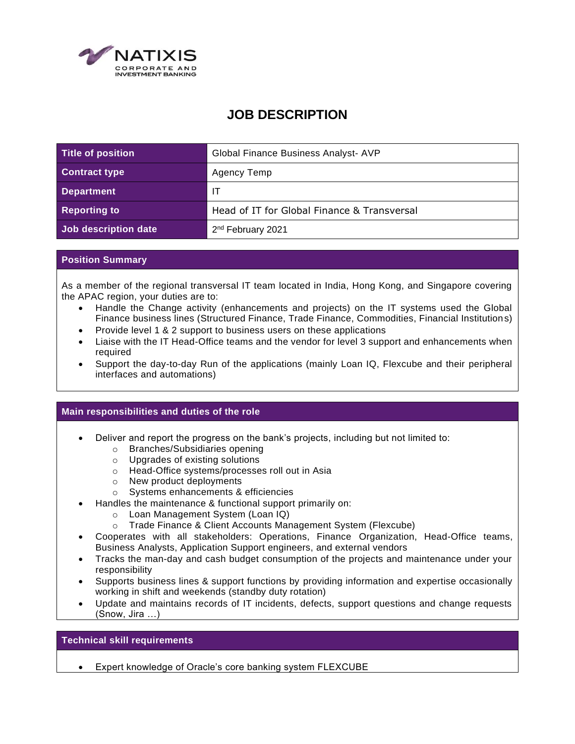

## **JOB DESCRIPTION**

| <b>Title of position</b> | Global Finance Business Analyst- AVP        |
|--------------------------|---------------------------------------------|
| <b>Contract type</b>     | Agency Temp                                 |
| <b>Department</b>        | $\mathsf{I}$                                |
| <b>Reporting to</b>      | Head of IT for Global Finance & Transversal |
| Job description date     | 2 <sup>nd</sup> February 2021               |

## **Position Summary**

As a member of the regional transversal IT team located in India, Hong Kong, and Singapore covering the APAC region, your duties are to:

- Handle the Change activity (enhancements and projects) on the IT systems used the Global Finance business lines (Structured Finance, Trade Finance, Commodities, Financial Institutions)
- Provide level 1 & 2 support to business users on these applications
- Liaise with the IT Head-Office teams and the vendor for level 3 support and enhancements when required
- Support the day-to-day Run of the applications (mainly Loan IQ, Flexcube and their peripheral interfaces and automations)

## **Main responsibilities and duties of the role**

- Deliver and report the progress on the bank's projects, including but not limited to:
	- o Branches/Subsidiaries opening
	- o Upgrades of existing solutions
	- o Head-Office systems/processes roll out in Asia
	- o New product deployments
	- o Systems enhancements & efficiencies
- Handles the maintenance & functional support primarily on:
	- o Loan Management System (Loan IQ)
	- o Trade Finance & Client Accounts Management System (Flexcube)
- Cooperates with all stakeholders: Operations, Finance Organization, Head-Office teams, Business Analysts, Application Support engineers, and external vendors
- Tracks the man-day and cash budget consumption of the projects and maintenance under your responsibility
- Supports business lines & support functions by providing information and expertise occasionally working in shift and weekends (standby duty rotation)
- Update and maintains records of IT incidents, defects, support questions and change requests (Snow, Jira …)

## **Technical skill requirements**

• Expert knowledge of Oracle's core banking system FLEXCUBE